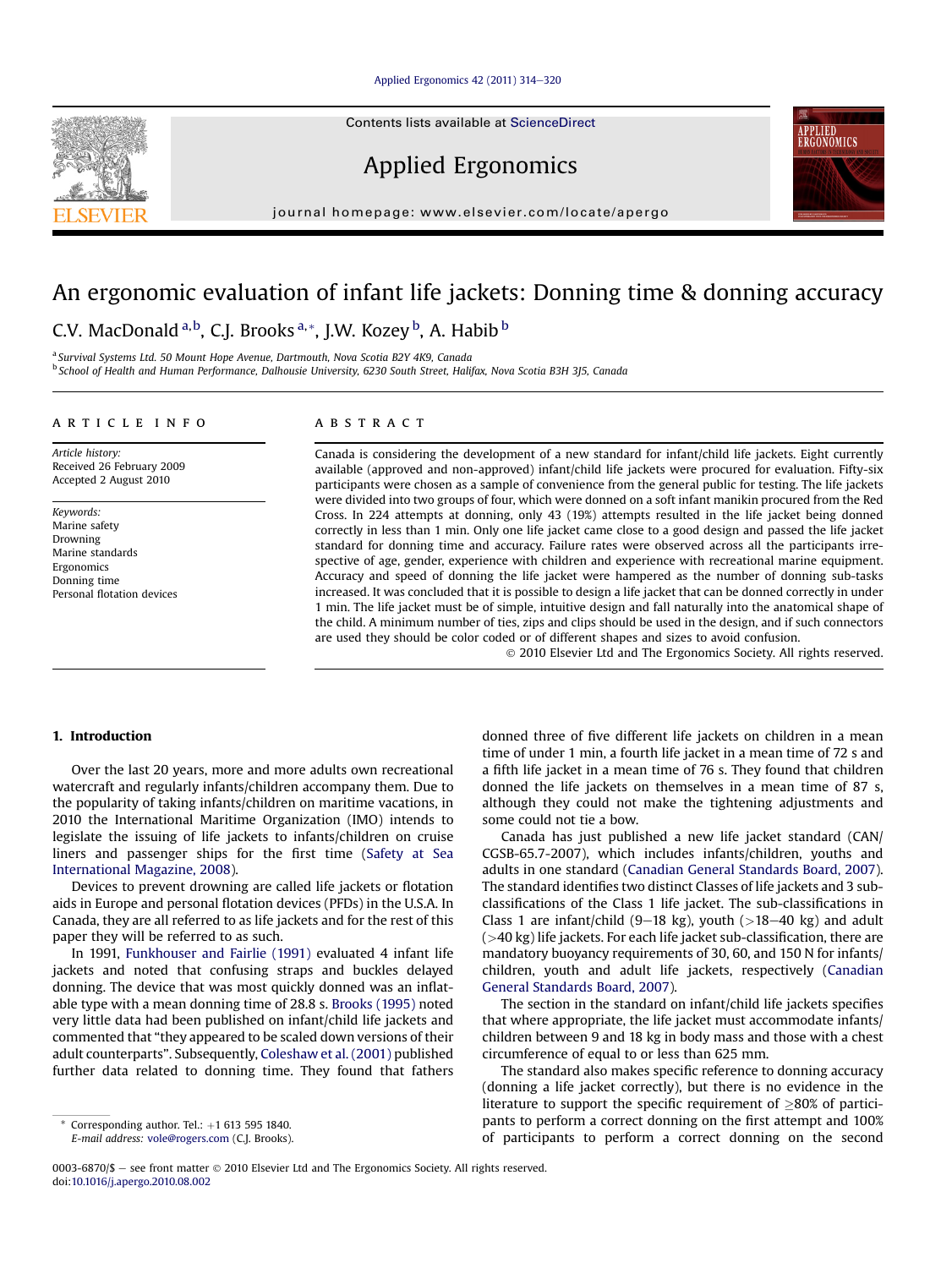#### [Applied Ergonomics 42 \(2011\) 314](http://dx.doi.org/10.1016/j.apergo.2010.08.002)-[320](http://dx.doi.org/10.1016/j.apergo.2010.08.002)

Contents lists available at ScienceDirect

Applied Ergonomics

journal homepage: [www.elsevier.com/locate/apergo](http://www.elsevier.com/locate/apergo)

## An ergonomic evaluation of infant life jackets: Donning time & donning accuracy

### C.V. MacDonald <sup>a, b</sup>, C.J. Brooks <sup>a, \*</sup>, J.W. Kozey <sup>b</sup>, A. Habib <sup>b</sup>

<sup>a</sup> Survival Systems Ltd. 50 Mount Hope Avenue, Dartmouth, Nova Scotia B2Y 4K9, Canada <sup>b</sup> School of Health and Human Performance, Dalhousie University, 6230 South Street, Halifax, Nova Scotia B3H 3J5, Canada

#### article info

Article history: Received 26 February 2009 Accepted 2 August 2010

Keywords: Marine safety Drowning Marine standards Ergonomics Donning time Personal flotation devices

#### ABSTRACT

Canada is considering the development of a new standard for infant/child life jackets. Eight currently available (approved and non-approved) infant/child life jackets were procured for evaluation. Fifty-six participants were chosen as a sample of convenience from the general public for testing. The life jackets were divided into two groups of four, which were donned on a soft infant manikin procured from the Red Cross. In 224 attempts at donning, only 43 (19%) attempts resulted in the life jacket being donned correctly in less than 1 min. Only one life jacket came close to a good design and passed the life jacket standard for donning time and accuracy. Failure rates were observed across all the participants irrespective of age, gender, experience with children and experience with recreational marine equipment. Accuracy and speed of donning the life jacket were hampered as the number of donning sub-tasks increased. It was concluded that it is possible to design a life jacket that can be donned correctly in under 1 min. The life jacket must be of simple, intuitive design and fall naturally into the anatomical shape of the child. A minimum number of ties, zips and clips should be used in the design, and if such connectors are used they should be color coded or of different shapes and sizes to avoid confusion.

2010 Elsevier Ltd and The Ergonomics Society. All rights reserved.

#### 1. Introduction

Over the last 20 years, more and more adults own recreational watercraft and regularly infants/children accompany them. Due to the popularity of taking infants/children on maritime vacations, in 2010 the International Maritime Organization (IMO) intends to legislate the issuing of life jackets to infants/children on cruise liners and passenger ships for the first time [\(Safety at Sea](#page--1-0) [International Magazine, 2008](#page--1-0)).

Devices to prevent drowning are called life jackets or flotation aids in Europe and personal flotation devices (PFDs) in the U.S.A. In Canada, they are all referred to as life jackets and for the rest of this paper they will be referred to as such.

In 1991, [Funkhouser and Fairlie \(1991\)](#page--1-0) evaluated 4 infant life jackets and noted that confusing straps and buckles delayed donning. The device that was most quickly donned was an inflatable type with a mean donning time of 28.8 s. [Brooks \(1995\)](#page--1-0) noted very little data had been published on infant/child life jackets and commented that "they appeared to be scaled down versions of their adult counterparts". Subsequently, [Coleshaw et al. \(2001\)](#page--1-0) published further data related to donning time. They found that fathers donned three of five different life jackets on children in a mean time of under 1 min, a fourth life jacket in a mean time of 72 s and a fifth life jacket in a mean time of 76 s. They found that children donned the life jackets on themselves in a mean time of 87 s, although they could not make the tightening adjustments and some could not tie a bow.

Canada has just published a new life jacket standard (CAN/ CGSB-65.7-2007), which includes infants/children, youths and adults in one standard ([Canadian General Standards Board, 2007\)](#page--1-0). The standard identifies two distinct Classes of life jackets and 3 subclassifications of the Class 1 life jacket. The sub-classifications in Class 1 are infant/child  $(9-18 \text{ kg})$ , youth  $(>18-40 \text{ kg})$  and adult (>40 kg) life jackets. For each life jacket sub-classification, there are mandatory buoyancy requirements of 30, 60, and 150 N for infants/ children, youth and adult life jackets, respectively ([Canadian](#page--1-0) [General Standards Board, 2007\)](#page--1-0).

The section in the standard on infant/child life jackets specifies that where appropriate, the life jacket must accommodate infants/ children between 9 and 18 kg in body mass and those with a chest circumference of equal to or less than 625 mm.

The standard also makes specific reference to donning accuracy (donning a life jacket correctly), but there is no evidence in the literature to support the specific requirement of  $>80\%$  of participants to perform a correct donning on the first attempt and 100% of participants to perform a correct donning on the second





Corresponding author. Tel.:  $+1$  613 595 1840. E-mail address: [vole@rogers.com](mailto:vole@rogers.com) (C.J. Brooks).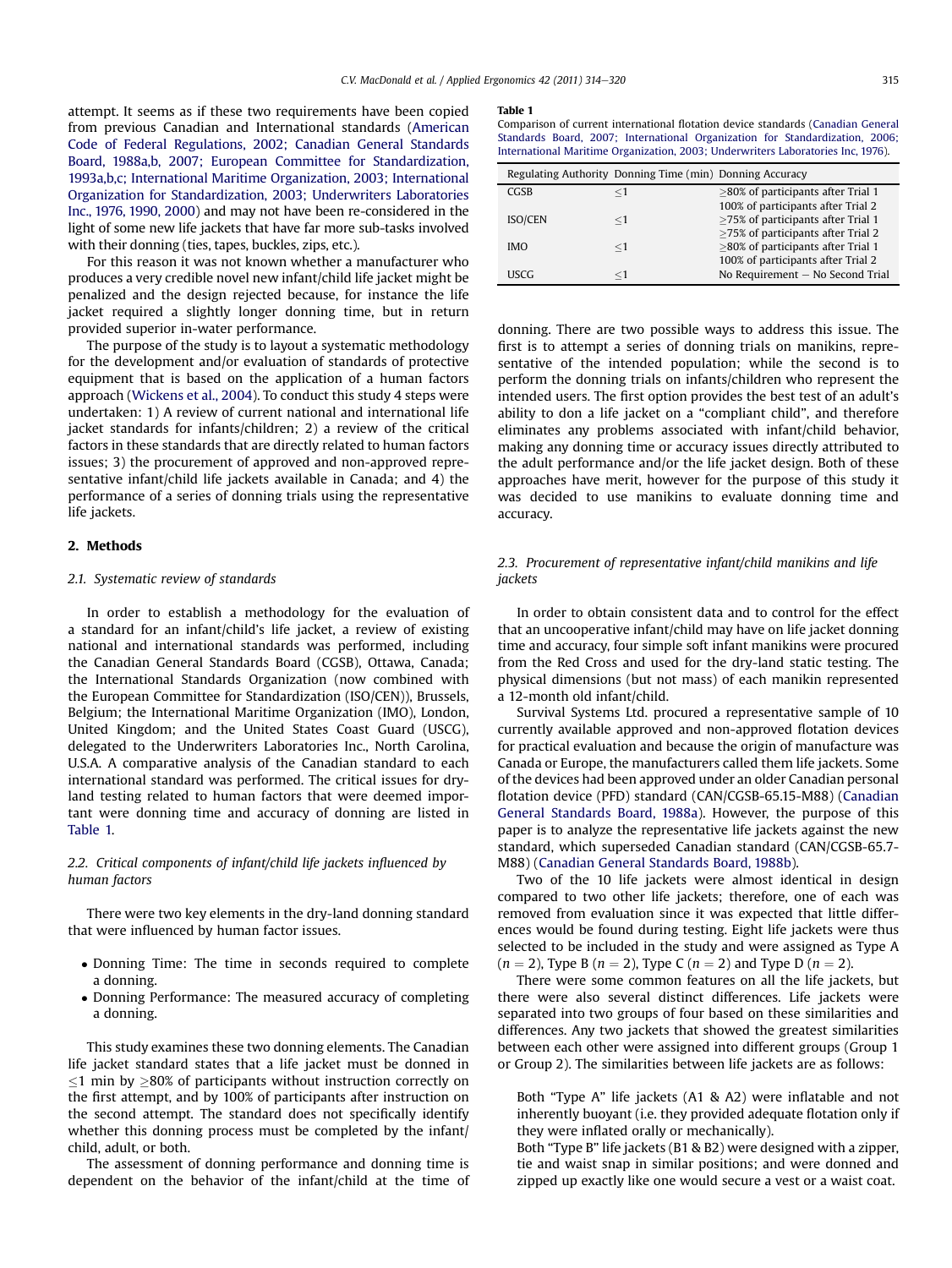attempt. It seems as if these two requirements have been copied from previous Canadian and International standards [\(American](#page--1-0) [Code of Federal Regulations, 2002; Canadian General Standards](#page--1-0) [Board, 1988a,b, 2007; European Committee for Standardization,](#page--1-0) [1993a,b,c; International Maritime Organization, 2003; International](#page--1-0) [Organization for Standardization, 2003; Underwriters Laboratories](#page--1-0) [Inc., 1976, 1990, 2000](#page--1-0)) and may not have been re-considered in the light of some new life jackets that have far more sub-tasks involved with their donning (ties, tapes, buckles, zips, etc.).

For this reason it was not known whether a manufacturer who produces a very credible novel new infant/child life jacket might be penalized and the design rejected because, for instance the life jacket required a slightly longer donning time, but in return provided superior in-water performance.

The purpose of the study is to layout a systematic methodology for the development and/or evaluation of standards of protective equipment that is based on the application of a human factors approach ([Wickens et al., 2004\)](#page--1-0). To conduct this study 4 steps were undertaken: 1) A review of current national and international life jacket standards for infants/children; 2) a review of the critical factors in these standards that are directly related to human factors issues; 3) the procurement of approved and non-approved representative infant/child life jackets available in Canada; and 4) the performance of a series of donning trials using the representative life jackets.

#### 2. Methods

#### 2.1. Systematic review of standards

In order to establish a methodology for the evaluation of a standard for an infant/child's life jacket, a review of existing national and international standards was performed, including the Canadian General Standards Board (CGSB), Ottawa, Canada; the International Standards Organization (now combined with the European Committee for Standardization (ISO/CEN)), Brussels, Belgium; the International Maritime Organization (IMO), London, United Kingdom; and the United States Coast Guard (USCG), delegated to the Underwriters Laboratories Inc., North Carolina, U.S.A. A comparative analysis of the Canadian standard to each international standard was performed. The critical issues for dryland testing related to human factors that were deemed important were donning time and accuracy of donning are listed in Table 1.

#### 2.2. Critical components of infant/child life jackets influenced by human factors

There were two key elements in the dry-land donning standard that were influenced by human factor issues.

- Donning Time: The time in seconds required to complete a donning.
- Donning Performance: The measured accuracy of completing a donning.

This study examines these two donning elements. The Canadian life jacket standard states that a life jacket must be donned in  $\leq$ 1 min by  $\geq$ 80% of participants without instruction correctly on the first attempt, and by 100% of participants after instruction on the second attempt. The standard does not specifically identify whether this donning process must be completed by the infant/ child, adult, or both.

The assessment of donning performance and donning time is dependent on the behavior of the infant/child at the time of

#### Table 1

Comparison of current international flotation device standards ([Canadian General](#page--1-0) [Standards Board, 2007; International Organization for Standardization, 2006;](#page--1-0) [International Maritime Organization, 2003; Underwriters Laboratories Inc, 1976\)](#page--1-0).

|             | Regulating Authority Donning Time (min) Donning Accuracy |                                       |
|-------------|----------------------------------------------------------|---------------------------------------|
| <b>CGSB</b> | $<\!1$                                                   | $>80\%$ of participants after Trial 1 |
|             |                                                          | 100% of participants after Trial 2    |
| ISO/CEN     | $\leq$ 1                                                 | $>75\%$ of participants after Trial 1 |
|             |                                                          | >75% of participants after Trial 2    |
| <b>IMO</b>  | $<$ 1                                                    | >80% of participants after Trial 1    |
|             |                                                          | 100% of participants after Trial 2    |
| <b>USCG</b> | $<$ 1                                                    | No Requirement - No Second Trial      |

donning. There are two possible ways to address this issue. The first is to attempt a series of donning trials on manikins, representative of the intended population; while the second is to perform the donning trials on infants/children who represent the intended users. The first option provides the best test of an adult's ability to don a life jacket on a "compliant child", and therefore eliminates any problems associated with infant/child behavior, making any donning time or accuracy issues directly attributed to the adult performance and/or the life jacket design. Both of these approaches have merit, however for the purpose of this study it was decided to use manikins to evaluate donning time and accuracy.

#### 2.3. Procurement of representative infant/child manikins and life jackets

In order to obtain consistent data and to control for the effect that an uncooperative infant/child may have on life jacket donning time and accuracy, four simple soft infant manikins were procured from the Red Cross and used for the dry-land static testing. The physical dimensions (but not mass) of each manikin represented a 12-month old infant/child.

Survival Systems Ltd. procured a representative sample of 10 currently available approved and non-approved flotation devices for practical evaluation and because the origin of manufacture was Canada or Europe, the manufacturers called them life jackets. Some of the devices had been approved under an older Canadian personal flotation device (PFD) standard (CAN/CGSB-65.15-M88) ([Canadian](#page--1-0) [General Standards Board, 1988a\)](#page--1-0). However, the purpose of this paper is to analyze the representative life jackets against the new standard, which superseded Canadian standard (CAN/CGSB-65.7- M88) [\(Canadian General Standards Board, 1988b](#page--1-0)).

Two of the 10 life jackets were almost identical in design compared to two other life jackets; therefore, one of each was removed from evaluation since it was expected that little differences would be found during testing. Eight life jackets were thus selected to be included in the study and were assigned as Type A  $(n = 2)$ , Type B  $(n = 2)$ , Type C  $(n = 2)$  and Type D  $(n = 2)$ .

There were some common features on all the life jackets, but there were also several distinct differences. Life jackets were separated into two groups of four based on these similarities and differences. Any two jackets that showed the greatest similarities between each other were assigned into different groups (Group 1 or Group 2). The similarities between life jackets are as follows:

Both "Type A" life jackets (A1 & A2) were inflatable and not inherently buoyant (i.e. they provided adequate flotation only if they were inflated orally or mechanically).

Both "Type B" life jackets (B1 & B2) were designed with a zipper, tie and waist snap in similar positions; and were donned and zipped up exactly like one would secure a vest or a waist coat.